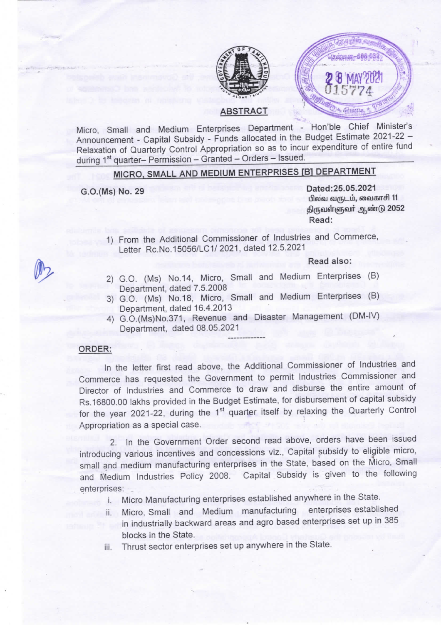



ABSTRACT

Micro, Small and Medium Enterprises Department - Hon'ble Chief Minister's Announcement - Capital Subsidy - Funds allocated in the Budget Estimate 2021-22 -Relaxation of Quarterly Control Appropriation so as to incur expenditure of entire fund during 1<sup>st</sup> quarter- Permission - Granted - Orders - Issued.

# MICRO, SMALL AND MEDIUM ENTERPRISES [B] DEPARTMENT

G.O.(Ms) No. 29 Dated:25.05.2021 பிலவ வருடம், வைகாசி 11 திருவள்ளுவர் ஆண்டு 2052 Read:

1) From the Additional Commissioner of Industries and Commerce, Letter Rc.No.15056/LC1/ 2021, dated 12.5.2021

Read also:

- 2) G.O. (Ms) No.14, Micro, Small and Medium Enterprises (B) Department, dated 7.5.2008
- 3) G.O. (Ms) No.18, Micro, SmaH and Medium Enterprises (8) Department, dated 16.4.2013
- 4) G.O.(Ms)No.371, Revenue and Disaster Management (DM-lv) Department, dated 08.05.2021

### ORDER:

ln the letter first read above, the Additional Commissioner of Industries and Commerce has requested the Government to permit Industries Commissioner and Director of Industries and Commerce to draw and disburse the entire amount of Rs.16800.00 lakhs provided in the Budget Estimate, for disbursement of capital subsidy for the year 2021-22, during the  $1<sup>st</sup>$  quarter itself by relaxing the Quarterly Control Appropriation as a special case.

2. In the Government Order second read above, orders have been issued<br>introducing various incentives and concessions viz., Capital subsidy to eligible micro, small and medium manufacturing enterprises in the State, based on the Micro, Small and Medium Industries Policy 2008. Capital Subsidy is given to the following enterprises:

- i. Micro Manufacturing enterprises established anywhere in the state.
- ii. Micro, Small and Medium manufacturing enterprises established in industrially backward areas and agro based enterprises set up in 385 blocks in the State.
- iii. Thrust sector enterprises set up anywhere in the state.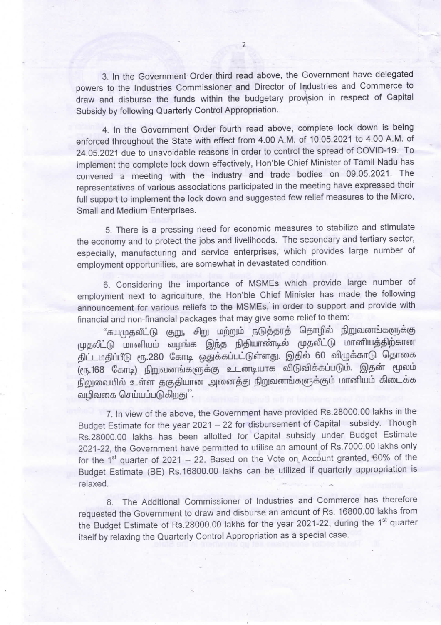3. In the Government Order third read above, the Government have delegated powers to the Industries Commissioner and Director of Industries and Commerce to draw and disburse the funds within the budgetary provision in respect of Capital Subsidy by following Quarterly Control Appropriation.

4. In the Government Order fourth read above, complete lock down is being enforced throughout the State with effect from 4.00 A.M. of 10.05.2021 to 4.00 A.M. of 24.05.2021 due to unavoidable reasons in order to control the spread of COVID-19. To implement the complete lock down effectively, Hon'ble Chief Minister of Tamil Nadu has convened a meeting with the industry and trade bodies on 09.05.2021. The representatives of various associations participated in the meeting have expressed their full support to implement the lock down and suggested few relief measures to the Micro, Small and Medium Enterprises.

5. There is a pressing need for economic measures to stabilize and stimulate the economy and to protect the jobs and livelihoods. The secondary and tertiary sector, especially, manufacturing and service enterprises, which provides large number of employment opportunities, are somewhat in devastated condition.

6. Considering the importance of MSMEs which provide large number of employment next to agriculture, the Hon'ble Chief Minister has made the following announcement for various reliefs to the MSMEs, in order to support and provide with financial and non-financial packages that may give some relief to them

"சுயமுதலீட்டு குறு, சிறு மற்றும் நடுத்தரத் தொழில் நிறுவனங்களுக்கு முதலீட்டு மானியம் வழங்க இந்த நிதியாண்டில் முதலீட்டு மானியத்திற்கான திட்டமதிப்பீடு ரூ.280 கோடி ஒதுக்கப்பட்டுள்ளது. இதில் 60 விழுக்காடு தொகை (ரூ.168 கோடி) நிறுவனங்களுக்கு உடனடியாக விடுவிக்கப்படும். இதன் மூலம் நிலுவையில் உள்ள தகுதியான அனைத்து நிறுவனங்களுக்கும் மானியம் கிடைக்க வமிவகை செய்யப்படுகிறது''.

7. In view of the above, the Government have provided Rs.28000.00 lakhs in the Budget Estimate for the year 2021 - 22 for disbursement of Capital subsidy. Though Rs.28000.00 lakhs has been allotted for Capital subsidy under Budget Estimate 2021-22, the Government have permitted to utilise an amount of Rs.7000.00 lakhs only for the 1<sup>st</sup> quarter of 2021 - 22. Based on the Vote on Account granted, 60% of the Budget Estimate (BE) Rs.16800.00 lakhs can be utilized if quarterly appropriation is relaxed.

8. The Additional Commissioner of Industries and Commerce has therefore requested the Government to draw and disburse an amount of Rs.16800.00 lakhs from the Budget Estimate of Rs.28000.00 lakhs for the year 2021-22, during the 1<sup>st</sup> quarter itself by relaxing the Quarterly Control Appropriation as a special case.